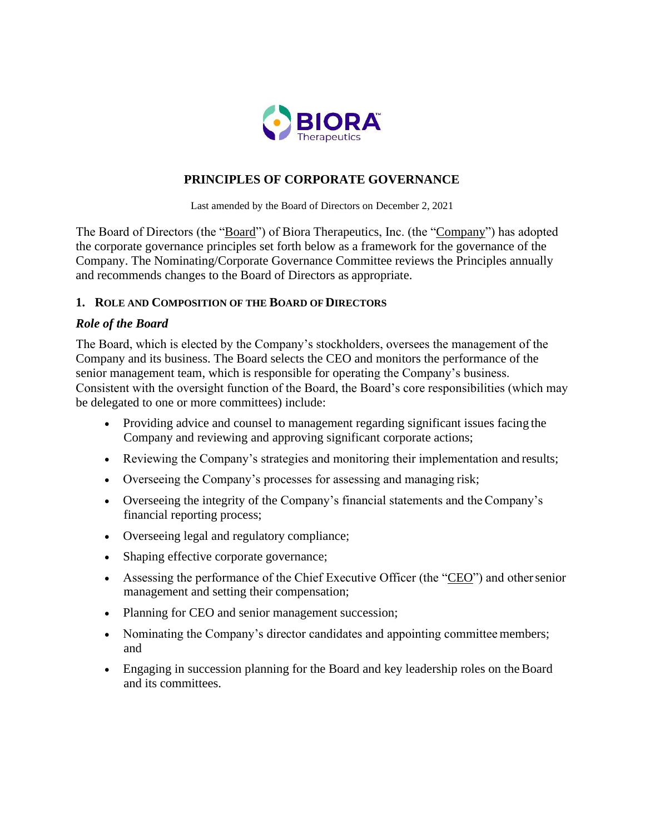

# **PRINCIPLES OF CORPORATE GOVERNANCE**

Last amended by the Board of Directors on December 2, 2021

The Board of Directors (the "Board") of Biora Therapeutics, Inc. (the "Company") has adopted the corporate governance principles set forth below as a framework for the governance of the Company. The Nominating/Corporate Governance Committee reviews the Principles annually and recommends changes to the Board of Directors as appropriate.

#### **1. ROLE AND COMPOSITION OF THE BOARD OFDIRECTORS**

#### *Role of the Board*

The Board, which is elected by the Company's stockholders, oversees the management of the Company and its business. The Board selects the CEO and monitors the performance of the senior management team, which is responsible for operating the Company's business. Consistent with the oversight function of the Board, the Board's core responsibilities (which may be delegated to one or more committees) include:

- Providing advice and counsel to management regarding significant issues facing the Company and reviewing and approving significant corporate actions;
- Reviewing the Company's strategies and monitoring their implementation and results;
- Overseeing the Company's processes for assessing and managing risk;
- Overseeing the integrity of the Company's financial statements and theCompany's financial reporting process;
- Overseeing legal and regulatory compliance;
- Shaping effective corporate governance;
- Assessing the performance of the Chief Executive Officer (the "CEO") and othersenior management and setting their compensation;
- Planning for CEO and senior management succession;
- Nominating the Company's director candidates and appointing committee members; and
- Engaging in succession planning for the Board and key leadership roles on the Board and its committees.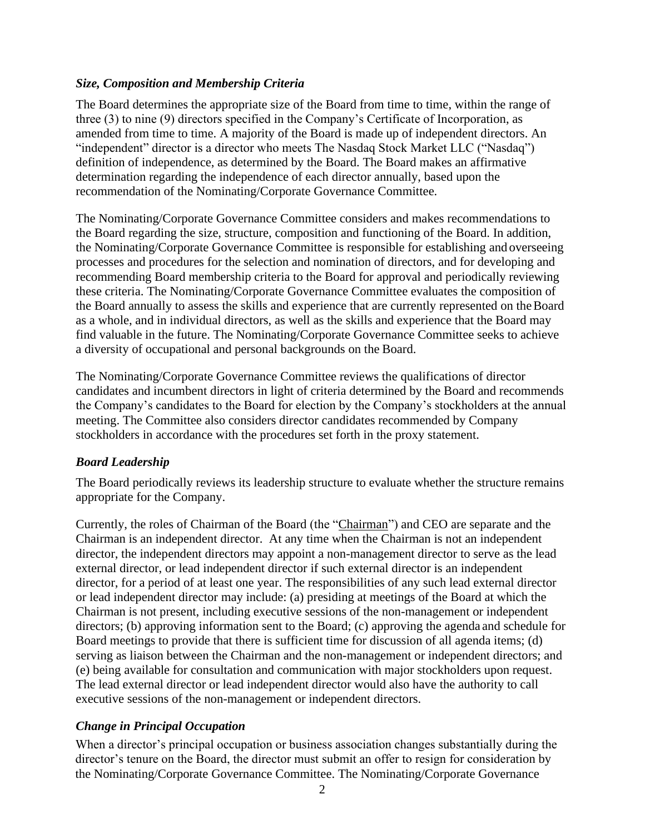# *Size, Composition and Membership Criteria*

The Board determines the appropriate size of the Board from time to time, within the range of three (3) to nine (9) directors specified in the Company's Certificate of Incorporation, as amended from time to time. A majority of the Board is made up of independent directors. An "independent" director is a director who meets The Nasdaq Stock Market LLC ("Nasdaq") definition of independence, as determined by the Board. The Board makes an affirmative determination regarding the independence of each director annually, based upon the recommendation of the Nominating/Corporate Governance Committee.

The Nominating/Corporate Governance Committee considers and makes recommendations to the Board regarding the size, structure, composition and functioning of the Board. In addition, the Nominating/Corporate Governance Committee is responsible for establishing and overseeing processes and procedures for the selection and nomination of directors, and for developing and recommending Board membership criteria to the Board for approval and periodically reviewing these criteria. The Nominating/Corporate Governance Committee evaluates the composition of the Board annually to assess the skills and experience that are currently represented on theBoard as a whole, and in individual directors, as well as the skills and experience that the Board may find valuable in the future. The Nominating/Corporate Governance Committee seeks to achieve a diversity of occupational and personal backgrounds on the Board.

The Nominating/Corporate Governance Committee reviews the qualifications of director candidates and incumbent directors in light of criteria determined by the Board and recommends the Company's candidates to the Board for election by the Company's stockholders at the annual meeting. The Committee also considers director candidates recommended by Company stockholders in accordance with the procedures set forth in the proxy statement.

# *Board Leadership*

The Board periodically reviews its leadership structure to evaluate whether the structure remains appropriate for the Company.

Currently, the roles of Chairman of the Board (the "Chairman") and CEO are separate and the Chairman is an independent director. At any time when the Chairman is not an independent director, the independent directors may appoint a non-management director to serve as the lead external director, or lead independent director if such external director is an independent director, for a period of at least one year. The responsibilities of any such lead external director or lead independent director may include: (a) presiding at meetings of the Board at which the Chairman is not present, including executive sessions of the non-management or independent directors; (b) approving information sent to the Board; (c) approving the agenda and schedule for Board meetings to provide that there is sufficient time for discussion of all agenda items; (d) serving as liaison between the Chairman and the non-management or independent directors; and (e) being available for consultation and communication with major stockholders upon request. The lead external director or lead independent director would also have the authority to call executive sessions of the non-management or independent directors.

# *Change in Principal Occupation*

When a director's principal occupation or business association changes substantially during the director's tenure on the Board, the director must submit an offer to resign for consideration by the Nominating/Corporate Governance Committee. The Nominating/Corporate Governance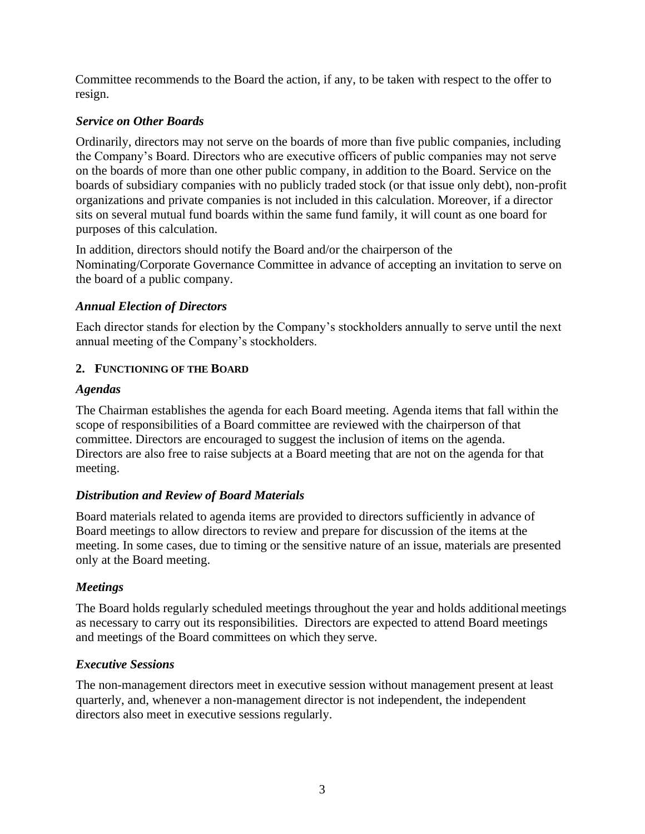Committee recommends to the Board the action, if any, to be taken with respect to the offer to resign.

#### *Service on Other Boards*

Ordinarily, directors may not serve on the boards of more than five public companies, including the Company's Board. Directors who are executive officers of public companies may not serve on the boards of more than one other public company, in addition to the Board. Service on the boards of subsidiary companies with no publicly traded stock (or that issue only debt), non-profit organizations and private companies is not included in this calculation. Moreover, if a director sits on several mutual fund boards within the same fund family, it will count as one board for purposes of this calculation.

In addition, directors should notify the Board and/or the chairperson of the Nominating/Corporate Governance Committee in advance of accepting an invitation to serve on the board of a public company.

### *Annual Election of Directors*

Each director stands for election by the Company's stockholders annually to serve until the next annual meeting of the Company's stockholders.

### **2. FUNCTIONING OF THE BOARD**

### *Agendas*

The Chairman establishes the agenda for each Board meeting. Agenda items that fall within the scope of responsibilities of a Board committee are reviewed with the chairperson of that committee. Directors are encouraged to suggest the inclusion of items on the agenda. Directors are also free to raise subjects at a Board meeting that are not on the agenda for that meeting.

### *Distribution and Review of Board Materials*

Board materials related to agenda items are provided to directors sufficiently in advance of Board meetings to allow directors to review and prepare for discussion of the items at the meeting. In some cases, due to timing or the sensitive nature of an issue, materials are presented only at the Board meeting.

### *Meetings*

The Board holds regularly scheduled meetings throughout the year and holds additionalmeetings as necessary to carry out its responsibilities. Directors are expected to attend Board meetings and meetings of the Board committees on which they serve.

### *Executive Sessions*

The non-management directors meet in executive session without management present at least quarterly, and, whenever a non-management director is not independent, the independent directors also meet in executive sessions regularly.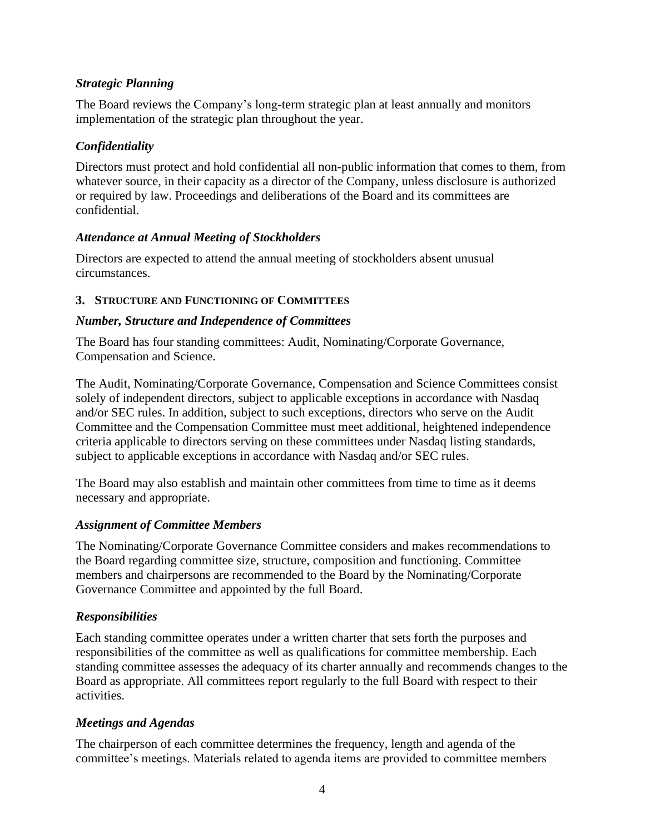# *Strategic Planning*

The Board reviews the Company's long-term strategic plan at least annually and monitors implementation of the strategic plan throughout the year.

# *Confidentiality*

Directors must protect and hold confidential all non-public information that comes to them, from whatever source, in their capacity as a director of the Company, unless disclosure is authorized or required by law. Proceedings and deliberations of the Board and its committees are confidential.

### *Attendance at Annual Meeting of Stockholders*

Directors are expected to attend the annual meeting of stockholders absent unusual circumstances.

### **3. STRUCTURE AND FUNCTIONING OF COMMITTEES**

#### *Number, Structure and Independence of Committees*

The Board has four standing committees: Audit, Nominating/Corporate Governance, Compensation and Science.

The Audit, Nominating/Corporate Governance, Compensation and Science Committees consist solely of independent directors, subject to applicable exceptions in accordance with Nasdaq and/or SEC rules. In addition, subject to such exceptions, directors who serve on the Audit Committee and the Compensation Committee must meet additional, heightened independence criteria applicable to directors serving on these committees under Nasdaq listing standards, subject to applicable exceptions in accordance with Nasdaq and/or SEC rules.

The Board may also establish and maintain other committees from time to time as it deems necessary and appropriate.

### *Assignment of Committee Members*

The Nominating/Corporate Governance Committee considers and makes recommendations to the Board regarding committee size, structure, composition and functioning. Committee members and chairpersons are recommended to the Board by the Nominating/Corporate Governance Committee and appointed by the full Board.

### *Responsibilities*

Each standing committee operates under a written charter that sets forth the purposes and responsibilities of the committee as well as qualifications for committee membership. Each standing committee assesses the adequacy of its charter annually and recommends changes to the Board as appropriate. All committees report regularly to the full Board with respect to their activities.

### *Meetings and Agendas*

The chairperson of each committee determines the frequency, length and agenda of the committee's meetings. Materials related to agenda items are provided to committee members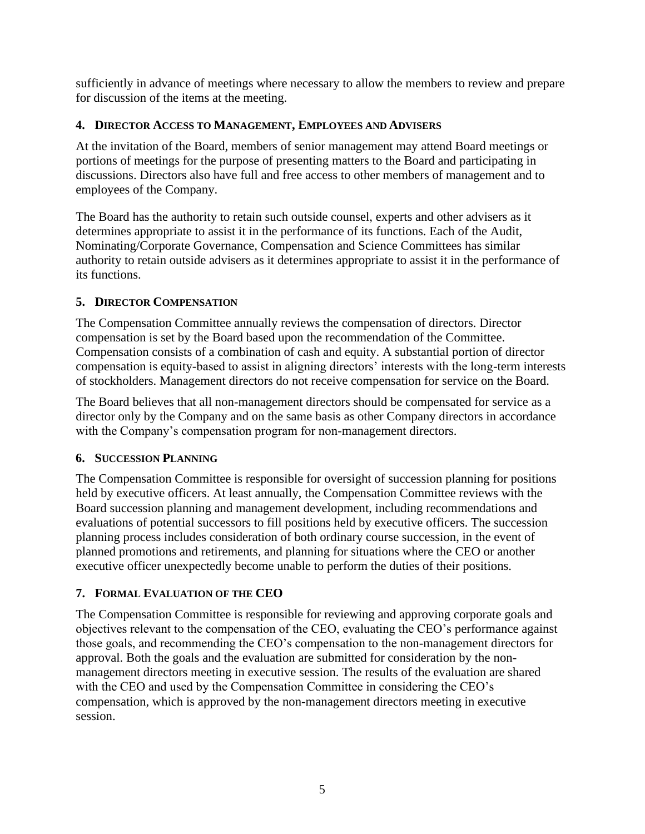sufficiently in advance of meetings where necessary to allow the members to review and prepare for discussion of the items at the meeting.

# **4. DIRECTOR ACCESS TO MANAGEMENT, EMPLOYEES AND ADVISERS**

At the invitation of the Board, members of senior management may attend Board meetings or portions of meetings for the purpose of presenting matters to the Board and participating in discussions. Directors also have full and free access to other members of management and to employees of the Company.

The Board has the authority to retain such outside counsel, experts and other advisers as it determines appropriate to assist it in the performance of its functions. Each of the Audit, Nominating/Corporate Governance, Compensation and Science Committees has similar authority to retain outside advisers as it determines appropriate to assist it in the performance of its functions.

# **5. DIRECTOR COMPENSATION**

The Compensation Committee annually reviews the compensation of directors. Director compensation is set by the Board based upon the recommendation of the Committee. Compensation consists of a combination of cash and equity. A substantial portion of director compensation is equity-based to assist in aligning directors' interests with the long-term interests of stockholders. Management directors do not receive compensation for service on the Board.

The Board believes that all non-management directors should be compensated for service as a director only by the Company and on the same basis as other Company directors in accordance with the Company's compensation program for non-management directors.

### **6. SUCCESSION PLANNING**

The Compensation Committee is responsible for oversight of succession planning for positions held by executive officers. At least annually, the Compensation Committee reviews with the Board succession planning and management development, including recommendations and evaluations of potential successors to fill positions held by executive officers. The succession planning process includes consideration of both ordinary course succession, in the event of planned promotions and retirements, and planning for situations where the CEO or another executive officer unexpectedly become unable to perform the duties of their positions.

# **7. FORMAL EVALUATION OF THE CEO**

The Compensation Committee is responsible for reviewing and approving corporate goals and objectives relevant to the compensation of the CEO, evaluating the CEO's performance against those goals, and recommending the CEO's compensation to the non-management directors for approval. Both the goals and the evaluation are submitted for consideration by the nonmanagement directors meeting in executive session. The results of the evaluation are shared with the CEO and used by the Compensation Committee in considering the CEO's compensation, which is approved by the non-management directors meeting in executive session.